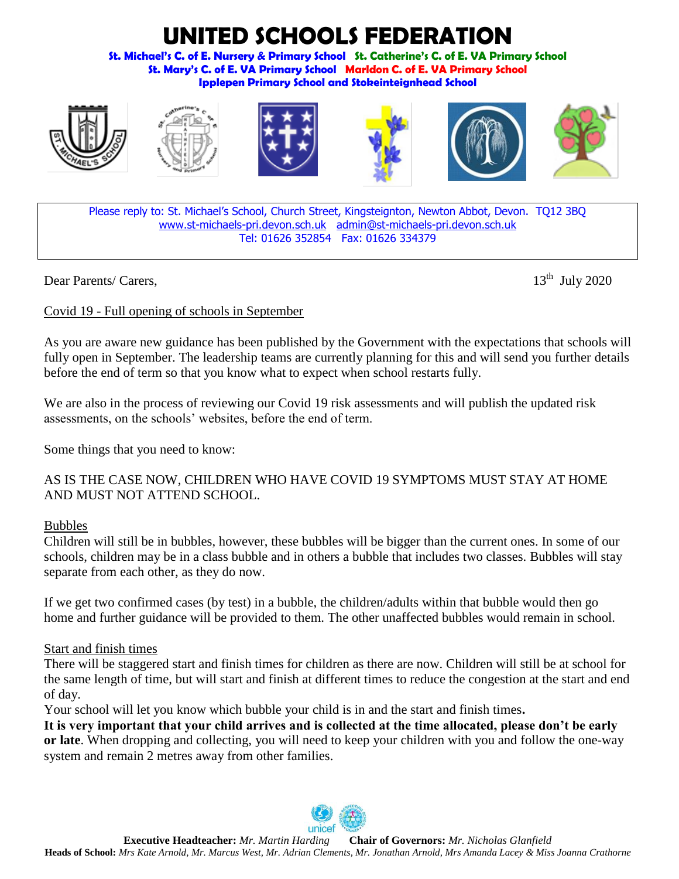# **TED SCHOOLS FEDERATION**

**St. Michael's C. of E. Nursery & Primary School St. Catherine's C. of E. VA Primary School St. Mary's C. of E. VA Primary School Marldon C. of E. VA Primary School Ipplepen Primary School and Stokeinteignhead School**











Please reply to: St. Michael's School, Church Street, Kingsteignton, Newton Abbot, Devon. TQ12 3BQ [www.st-michaels-pri.devon.sch.uk](http://www.st-michaels-pri.devon.sch.uk/) [admin@st-michaels-pri.devon.sch.uk](mailto:admin@st-michaels-pri.devon.sch.uk) Tel: 01626 352854 Fax: 01626 334379

Dear Parents/ Carers, 13<sup>th</sup> July 2020

# Covid 19 - Full opening of schools in September

As you are aware new guidance has been published by the Government with the expectations that schools will fully open in September. The leadership teams are currently planning for this and will send you further details before the end of term so that you know what to expect when school restarts fully.

We are also in the process of reviewing our Covid 19 risk assessments and will publish the updated risk assessments, on the schools' websites, before the end of term.

Some things that you need to know:

AS IS THE CASE NOW, CHILDREN WHO HAVE COVID 19 SYMPTOMS MUST STAY AT HOME AND MUST NOT ATTEND SCHOOL.

# Bubbles

Children will still be in bubbles, however, these bubbles will be bigger than the current ones. In some of our schools, children may be in a class bubble and in others a bubble that includes two classes. Bubbles will stay separate from each other, as they do now.

If we get two confirmed cases (by test) in a bubble, the children/adults within that bubble would then go home and further guidance will be provided to them. The other unaffected bubbles would remain in school.

# Start and finish times

There will be staggered start and finish times for children as there are now. Children will still be at school for the same length of time, but will start and finish at different times to reduce the congestion at the start and end of day.

Your school will let you know which bubble your child is in and the start and finish times**.**

**It is very important that your child arrives and is collected at the time allocated, please don't be early or late**. When dropping and collecting, you will need to keep your children with you and follow the one-way system and remain 2 metres away from other families.

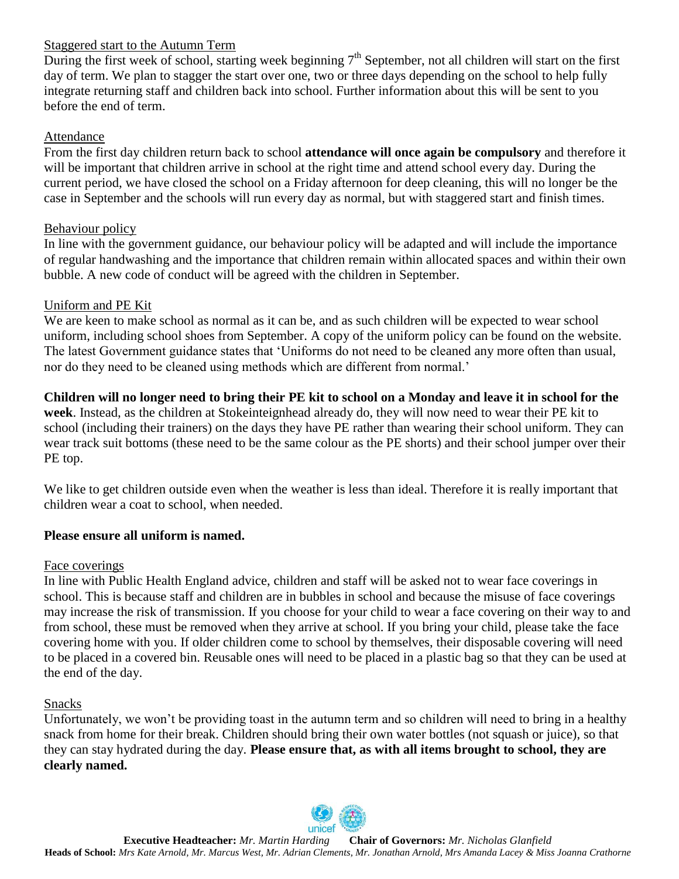#### Staggered start to the Autumn Term

During the first week of school, starting week beginning  $7<sup>th</sup>$  September, not all children will start on the first day of term. We plan to stagger the start over one, two or three days depending on the school to help fully integrate returning staff and children back into school. Further information about this will be sent to you before the end of term.

#### Attendance

From the first day children return back to school **attendance will once again be compulsory** and therefore it will be important that children arrive in school at the right time and attend school every day. During the current period, we have closed the school on a Friday afternoon for deep cleaning, this will no longer be the case in September and the schools will run every day as normal, but with staggered start and finish times.

# Behaviour policy

In line with the government guidance, our behaviour policy will be adapted and will include the importance of regular handwashing and the importance that children remain within allocated spaces and within their own bubble. A new code of conduct will be agreed with the children in September.

# Uniform and PE Kit

We are keen to make school as normal as it can be, and as such children will be expected to wear school uniform, including school shoes from September. A copy of the uniform policy can be found on the website. The latest Government guidance states that 'Uniforms do not need to be cleaned any more often than usual, nor do they need to be cleaned using methods which are different from normal.'

#### **Children will no longer need to bring their PE kit to school on a Monday and leave it in school for the**

**week**. Instead, as the children at Stokeinteignhead already do, they will now need to wear their PE kit to school (including their trainers) on the days they have PE rather than wearing their school uniform. They can wear track suit bottoms (these need to be the same colour as the PE shorts) and their school jumper over their PE top.

We like to get children outside even when the weather is less than ideal. Therefore it is really important that children wear a coat to school, when needed.

# **Please ensure all uniform is named.**

#### Face coverings

In line with Public Health England advice, children and staff will be asked not to wear face coverings in school. This is because staff and children are in bubbles in school and because the misuse of face coverings may increase the risk of transmission. If you choose for your child to wear a face covering on their way to and from school, these must be removed when they arrive at school. If you bring your child, please take the face covering home with you. If older children come to school by themselves, their disposable covering will need to be placed in a covered bin. Reusable ones will need to be placed in a plastic bag so that they can be used at the end of the day.

# Snacks

Unfortunately, we won't be providing toast in the autumn term and so children will need to bring in a healthy snack from home for their break. Children should bring their own water bottles (not squash or juice), so that they can stay hydrated during the day. **Please ensure that, as with all items brought to school, they are clearly named.**